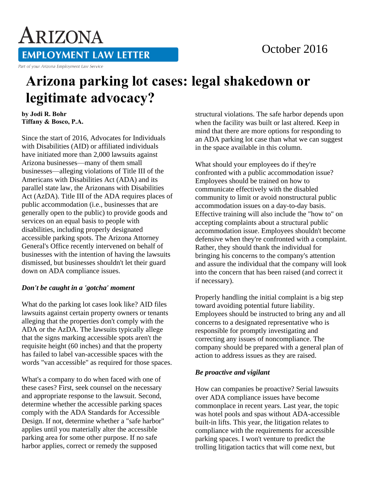### October 2016

# ARIZONA **EMPLOYMENT LAW LETTER**

Part of your Arizona Employment Law Service

## **Arizona parking lot cases: legal shakedown or legitimate advocacy?**

**by Jodi R. Bohr Tiffany & Bosco, P.A.** 

Since the start of 2016, Advocates for Individuals with Disabilities (AID) or affiliated individuals have initiated more than 2,000 lawsuits against Arizona businesses—many of them small businesses—alleging violations of Title III of the Americans with Disabilities Act (ADA) and its parallel state law, the Arizonans with Disabilities Act (AzDA). Title III of the ADA requires places of public accommodation (i.e., businesses that are generally open to the public) to provide goods and services on an equal basis to people with disabilities, including properly designated accessible parking spots. The Arizona Attorney General's Office recently intervened on behalf of businesses with the intention of having the lawsuits dismissed, but businesses shouldn't let their guard down on ADA compliance issues.

#### *Don't be caught in a 'gotcha' moment*

What do the parking lot cases look like? AID files lawsuits against certain property owners or tenants alleging that the properties don't comply with the ADA or the AzDA. The lawsuits typically allege that the signs marking accessible spots aren't the requisite height (60 inches) and that the property has failed to label van-accessible spaces with the words "van accessible" as required for those spaces.

What's a company to do when faced with one of these cases? First, seek counsel on the necessary and appropriate response to the lawsuit. Second, determine whether the accessible parking spaces comply with the ADA Standards for Accessible Design. If not, determine whether a "safe harbor" applies until you materially alter the accessible parking area for some other purpose. If no safe harbor applies, correct or remedy the supposed

structural violations. The safe harbor depends upon when the facility was built or last altered. Keep in mind that there are more options for responding to an ADA parking lot case than what we can suggest in the space available in this column.

What should your employees do if they're confronted with a public accommodation issue? Employees should be trained on how to communicate effectively with the disabled community to limit or avoid nonstructural public accommodation issues on a day-to-day basis. Effective training will also include the "how to" on accepting complaints about a structural public accommodation issue. Employees shouldn't become defensive when they're confronted with a complaint. Rather, they should thank the individual for bringing his concerns to the company's attention and assure the individual that the company will look into the concern that has been raised (and correct it if necessary).

Properly handling the initial complaint is a big step toward avoiding potential future liability. Employees should be instructed to bring any and all concerns to a designated representative who is responsible for promptly investigating and correcting any issues of noncompliance. The company should be prepared with a general plan of action to address issues as they are raised.

### *Be proactive and vigilant*

How can companies be proactive? Serial lawsuits over ADA compliance issues have become commonplace in recent years. Last year, the topic was hotel pools and spas without ADA-accessible built-in lifts. This year, the litigation relates to compliance with the requirements for accessible parking spaces. I won't venture to predict the trolling litigation tactics that will come next, but